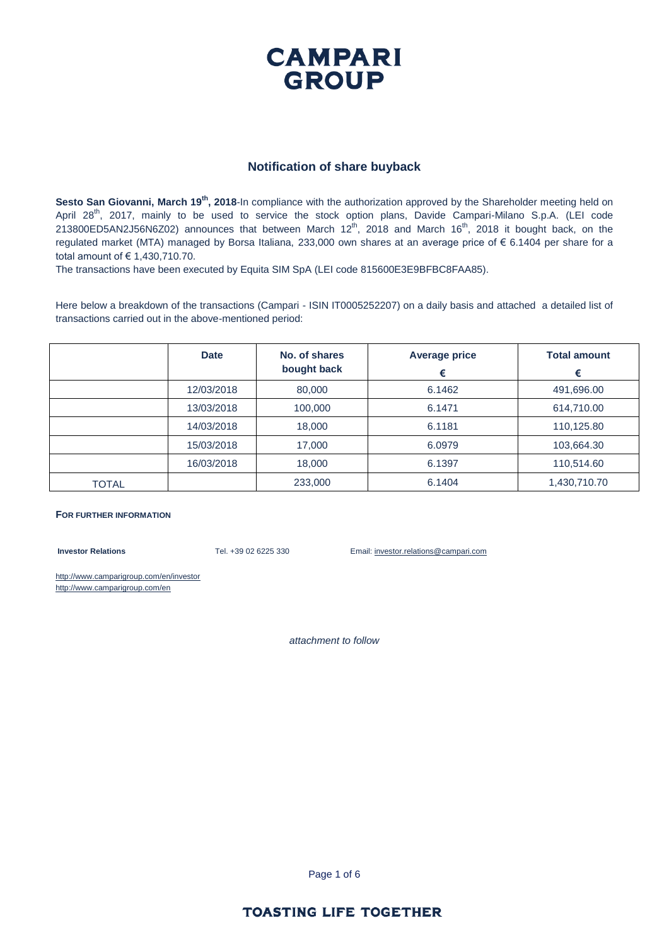

#### **Notification of share buyback**

Sesto San Giovanni, March 19<sup>th</sup>, 2018-In compliance with the authorization approved by the Shareholder meeting held on April 28<sup>th</sup>, 2017, mainly to be used to service the stock option plans, Davide Campari-Milano S.p.A. (LEI code 213800ED5AN2J56N6Z02) announces that between March  $12^{th}$ , 2018 and March  $16^{th}$ , 2018 it bought back, on the regulated market (MTA) managed by Borsa Italiana, 233,000 own shares at an average price of € 6.1404 per share for a total amount of € 1,430,710.70.

The transactions have been executed by Equita SIM SpA (LEI code 815600E3E9BFBC8FAA85).

Here below a breakdown of the transactions (Campari - ISIN IT0005252207) on a daily basis and attached a detailed list of transactions carried out in the above-mentioned period:

|       | <b>Date</b> | No. of shares<br>bought back | <b>Average price</b><br>€ | <b>Total amount</b><br>€ |
|-------|-------------|------------------------------|---------------------------|--------------------------|
|       | 12/03/2018  | 80,000                       | 6.1462                    | 491,696.00               |
|       | 13/03/2018  | 100,000                      | 6.1471                    | 614,710.00               |
|       | 14/03/2018  | 18,000                       | 6.1181                    | 110,125.80               |
|       | 15/03/2018  | 17,000                       | 6.0979                    | 103,664.30               |
|       | 16/03/2018  | 18,000                       | 6.1397                    | 110,514.60               |
| TOTAL |             | 233,000                      | 6.1404                    | 1,430,710.70             |

#### **FOR FURTHER INFORMATION**

**Investor Relations** Tel. +39 02 6225 330 Email: investor.relations@campari.com

http://www.camparigroup.com/en/investor http://www.camparigroup.com/en

*attachment to follow*

Page 1 of 6

### **TOASTING LIFE TOGETHER**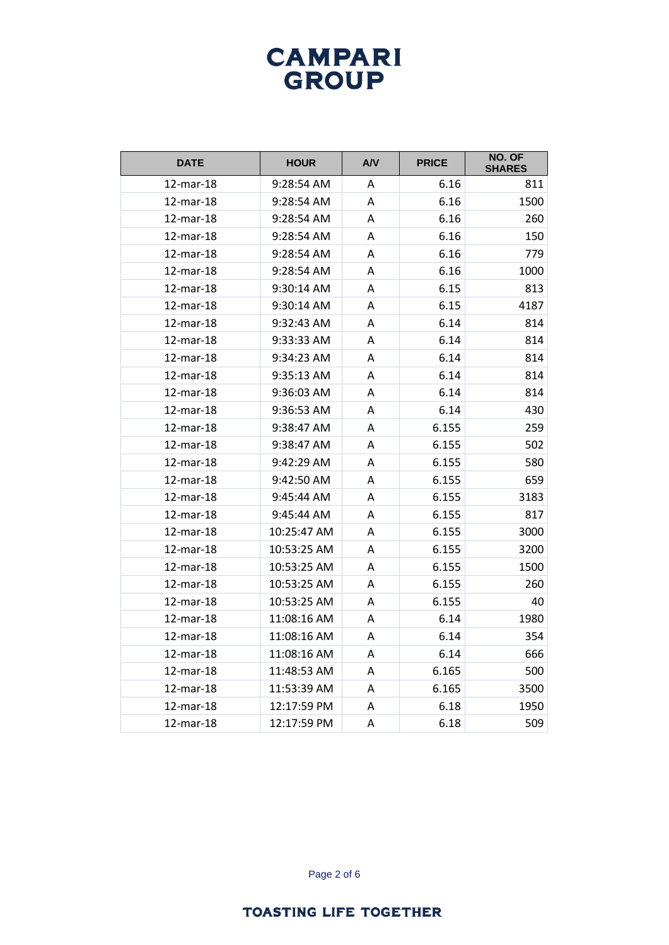| <b>DATE</b> | <b>HOUR</b> | AVV | <b>PRICE</b> | NO. OF<br><b>SHARES</b> |
|-------------|-------------|-----|--------------|-------------------------|
| 12-mar-18   | 9:28:54 AM  | A   | 6.16         | 811                     |
| 12-mar-18   | 9:28:54 AM  | Α   | 6.16         | 1500                    |
| 12-mar-18   | 9:28:54 AM  | A   | 6.16         | 260                     |
| 12-mar-18   | 9:28:54 AM  | Α   | 6.16         | 150                     |
| 12-mar-18   | 9:28:54 AM  | А   | 6.16         | 779                     |
| 12-mar-18   | 9:28:54 AM  | А   | 6.16         | 1000                    |
| 12-mar-18   | 9:30:14 AM  | A   | 6.15         | 813                     |
| 12-mar-18   | 9:30:14 AM  | A   | 6.15         | 4187                    |
| 12-mar-18   | 9:32:43 AM  | A   | 6.14         | 814                     |
| 12-mar-18   | 9:33:33 AM  | А   | 6.14         | 814                     |
| 12-mar-18   | 9:34:23 AM  | A   | 6.14         | 814                     |
| 12-mar-18   | 9:35:13 AM  | Α   | 6.14         | 814                     |
| 12-mar-18   | 9:36:03 AM  | Α   | 6.14         | 814                     |
| 12-mar-18   | 9:36:53 AM  | A   | 6.14         | 430                     |
| 12-mar-18   | 9:38:47 AM  | А   | 6.155        | 259                     |
| 12-mar-18   | 9:38:47 AM  | A   | 6.155        | 502                     |
| 12-mar-18   | 9:42:29 AM  | A   | 6.155        | 580                     |
| 12-mar-18   | 9:42:50 AM  | A   | 6.155        | 659                     |
| 12-mar-18   | 9:45:44 AM  | А   | 6.155        | 3183                    |
| 12-mar-18   | 9:45:44 AM  | A   | 6.155        | 817                     |
| 12-mar-18   | 10:25:47 AM | A   | 6.155        | 3000                    |
| 12-mar-18   | 10:53:25 AM | Α   | 6.155        | 3200                    |
| 12-mar-18   | 10:53:25 AM | A   | 6.155        | 1500                    |
| 12-mar-18   | 10:53:25 AM | Α   | 6.155        | 260                     |
| 12-mar-18   | 10:53:25 AM | A   | 6.155        | 40                      |
| 12-mar-18   | 11:08:16 AM | A   | 6.14         | 1980                    |
| 12-mar-18   | 11:08:16 AM | A   | 6.14         | 354                     |
| 12-mar-18   | 11:08:16 AM | Α   | 6.14         | 666                     |
| 12-mar-18   | 11:48:53 AM | A   | 6.165        | 500                     |
| 12-mar-18   | 11:53:39 AM | Α   | 6.165        | 3500                    |
| 12-mar-18   | 12:17:59 PM | Α   | 6.18         | 1950                    |
| 12-mar-18   | 12:17:59 PM | Α   | 6.18         | 509                     |

Page 2 of 6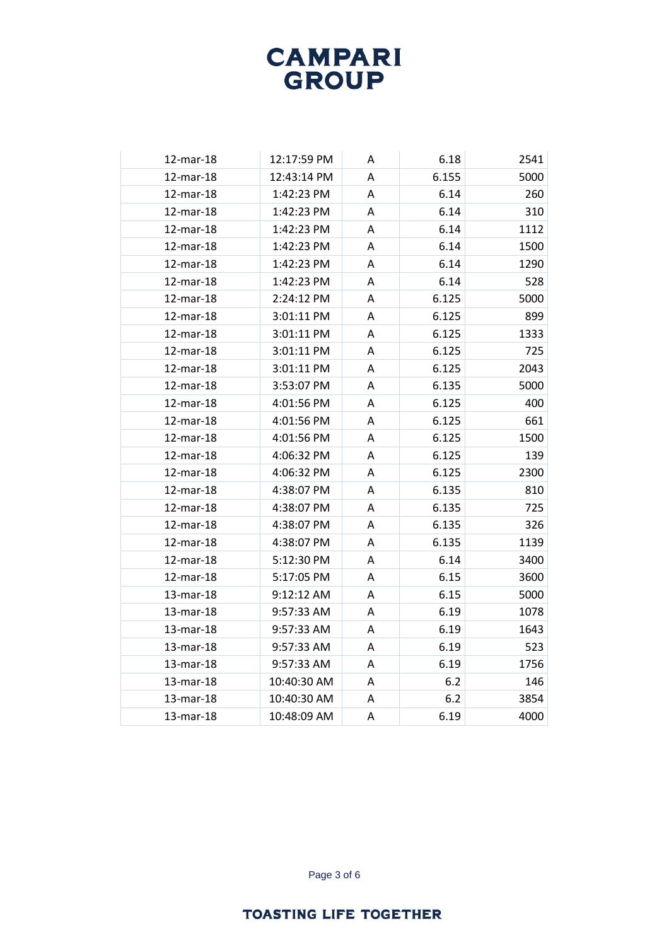| 12-mar-18 | 12:17:59 PM | A | 6.18  | 2541 |
|-----------|-------------|---|-------|------|
| 12-mar-18 | 12:43:14 PM | A | 6.155 | 5000 |
| 12-mar-18 | 1:42:23 PM  | A | 6.14  | 260  |
| 12-mar-18 | 1:42:23 PM  | A | 6.14  | 310  |
| 12-mar-18 | 1:42:23 PM  | A | 6.14  | 1112 |
| 12-mar-18 | 1:42:23 PM  | A | 6.14  | 1500 |
| 12-mar-18 | 1:42:23 PM  | A | 6.14  | 1290 |
| 12-mar-18 | 1:42:23 PM  | A | 6.14  | 528  |
| 12-mar-18 | 2:24:12 PM  | A | 6.125 | 5000 |
| 12-mar-18 | 3:01:11 PM  | A | 6.125 | 899  |
| 12-mar-18 | 3:01:11 PM  | A | 6.125 | 1333 |
| 12-mar-18 | 3:01:11 PM  | A | 6.125 | 725  |
| 12-mar-18 | 3:01:11 PM  | Α | 6.125 | 2043 |
| 12-mar-18 | 3:53:07 PM  | A | 6.135 | 5000 |
| 12-mar-18 | 4:01:56 PM  | A | 6.125 | 400  |
| 12-mar-18 | 4:01:56 PM  | A | 6.125 | 661  |
| 12-mar-18 | 4:01:56 PM  | Α | 6.125 | 1500 |
| 12-mar-18 | 4:06:32 PM  | A | 6.125 | 139  |
| 12-mar-18 | 4:06:32 PM  | A | 6.125 | 2300 |
| 12-mar-18 | 4:38:07 PM  | Α | 6.135 | 810  |
| 12-mar-18 | 4:38:07 PM  | Α | 6.135 | 725  |
| 12-mar-18 | 4:38:07 PM  | A | 6.135 | 326  |
| 12-mar-18 | 4:38:07 PM  | A | 6.135 | 1139 |
| 12-mar-18 | 5:12:30 PM  | A | 6.14  | 3400 |
| 12-mar-18 | 5:17:05 PM  | Α | 6.15  | 3600 |
| 13-mar-18 | 9:12:12 AM  | A | 6.15  | 5000 |
| 13-mar-18 | 9:57:33 AM  | A | 6.19  | 1078 |
| 13-mar-18 | 9:57:33 AM  | A | 6.19  | 1643 |
| 13-mar-18 | 9:57:33 AM  | A | 6.19  | 523  |
| 13-mar-18 | 9:57:33 AM  | A | 6.19  | 1756 |
| 13-mar-18 | 10:40:30 AM | A | 6.2   | 146  |
| 13-mar-18 | 10:40:30 AM | A | 6.2   | 3854 |
| 13-mar-18 | 10:48:09 AM | A | 6.19  | 4000 |

Page 3 of 6

#### **TOASTING LIFE TOGETHER**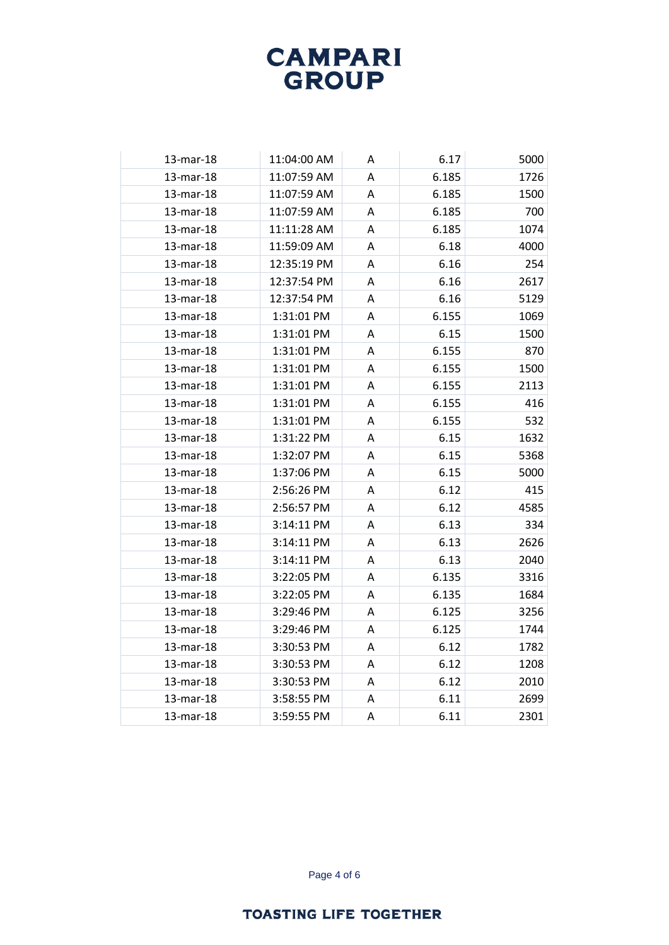| 13-mar-18 | 11:04:00 AM | A | 6.17  | 5000 |
|-----------|-------------|---|-------|------|
| 13-mar-18 | 11:07:59 AM | A | 6.185 | 1726 |
| 13-mar-18 | 11:07:59 AM | A | 6.185 | 1500 |
| 13-mar-18 | 11:07:59 AM | A | 6.185 | 700  |
| 13-mar-18 | 11:11:28 AM | A | 6.185 | 1074 |
| 13-mar-18 | 11:59:09 AM | A | 6.18  | 4000 |
| 13-mar-18 | 12:35:19 PM | A | 6.16  | 254  |
| 13-mar-18 | 12:37:54 PM | A | 6.16  | 2617 |
| 13-mar-18 | 12:37:54 PM | A | 6.16  | 5129 |
| 13-mar-18 | 1:31:01 PM  | A | 6.155 | 1069 |
| 13-mar-18 | 1:31:01 PM  | Α | 6.15  | 1500 |
| 13-mar-18 | 1:31:01 PM  | A | 6.155 | 870  |
| 13-mar-18 | 1:31:01 PM  | Α | 6.155 | 1500 |
| 13-mar-18 | 1:31:01 PM  | A | 6.155 | 2113 |
| 13-mar-18 | 1:31:01 PM  | A | 6.155 | 416  |
| 13-mar-18 | 1:31:01 PM  | A | 6.155 | 532  |
| 13-mar-18 | 1:31:22 PM  | A | 6.15  | 1632 |
| 13-mar-18 | 1:32:07 PM  | A | 6.15  | 5368 |
| 13-mar-18 | 1:37:06 PM  | A | 6.15  | 5000 |
| 13-mar-18 | 2:56:26 PM  | Α | 6.12  | 415  |
| 13-mar-18 | 2:56:57 PM  | Α | 6.12  | 4585 |
| 13-mar-18 | 3:14:11 PM  | A | 6.13  | 334  |
| 13-mar-18 | 3:14:11 PM  | A | 6.13  | 2626 |
| 13-mar-18 | 3:14:11 PM  | A | 6.13  | 2040 |
| 13-mar-18 | 3:22:05 PM  | Α | 6.135 | 3316 |
| 13-mar-18 | 3:22:05 PM  | A | 6.135 | 1684 |
| 13-mar-18 | 3:29:46 PM  | Α | 6.125 | 3256 |
| 13-mar-18 | 3:29:46 PM  | A | 6.125 | 1744 |
| 13-mar-18 | 3:30:53 PM  | A | 6.12  | 1782 |
| 13-mar-18 | 3:30:53 PM  | A | 6.12  | 1208 |
| 13-mar-18 | 3:30:53 PM  | A | 6.12  | 2010 |
| 13-mar-18 | 3:58:55 PM  | A | 6.11  | 2699 |
| 13-mar-18 | 3:59:55 PM  | A | 6.11  | 2301 |

Page 4 of 6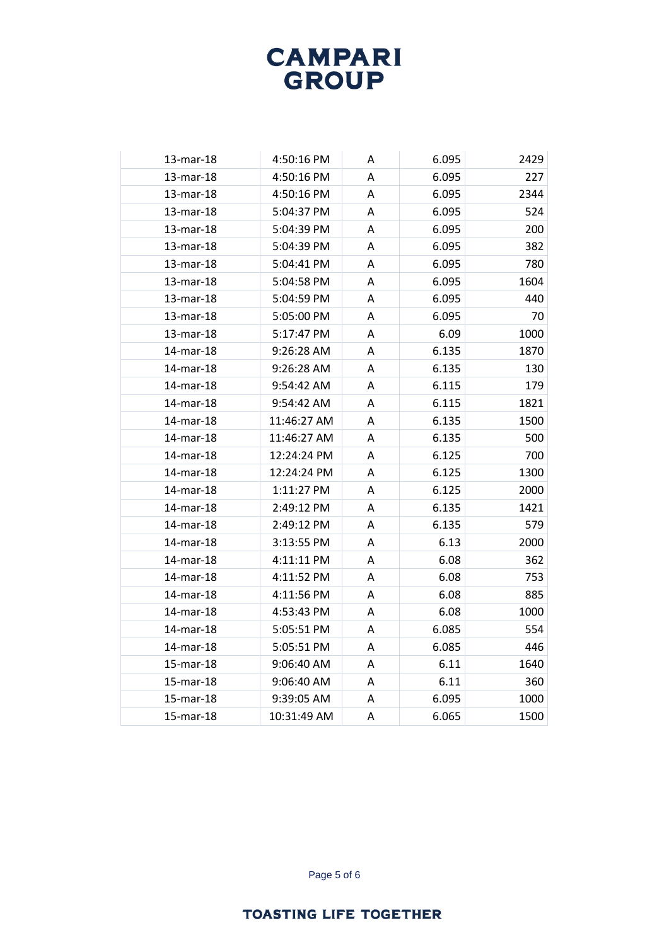| 13-mar-18 | 4:50:16 PM  | A | 6.095 | 2429 |
|-----------|-------------|---|-------|------|
| 13-mar-18 | 4:50:16 PM  | A | 6.095 | 227  |
| 13-mar-18 | 4:50:16 PM  | Α | 6.095 | 2344 |
| 13-mar-18 | 5:04:37 PM  | Α | 6.095 | 524  |
| 13-mar-18 | 5:04:39 PM  | A | 6.095 | 200  |
| 13-mar-18 | 5:04:39 PM  | A | 6.095 | 382  |
| 13-mar-18 | 5:04:41 PM  | A | 6.095 | 780  |
| 13-mar-18 | 5:04:58 PM  | A | 6.095 | 1604 |
| 13-mar-18 | 5:04:59 PM  | A | 6.095 | 440  |
| 13-mar-18 | 5:05:00 PM  | A | 6.095 | 70   |
| 13-mar-18 | 5:17:47 PM  | Α | 6.09  | 1000 |
| 14-mar-18 | 9:26:28 AM  | Α | 6.135 | 1870 |
| 14-mar-18 | 9:26:28 AM  | А | 6.135 | 130  |
| 14-mar-18 | 9:54:42 AM  | A | 6.115 | 179  |
| 14-mar-18 | 9:54:42 AM  | A | 6.115 | 1821 |
| 14-mar-18 | 11:46:27 AM | A | 6.135 | 1500 |
| 14-mar-18 | 11:46:27 AM | Α | 6.135 | 500  |
| 14-mar-18 | 12:24:24 PM | A | 6.125 | 700  |
| 14-mar-18 | 12:24:24 PM | A | 6.125 | 1300 |
| 14-mar-18 | 1:11:27 PM  | Α | 6.125 | 2000 |
| 14-mar-18 | 2:49:12 PM  | Α | 6.135 | 1421 |
| 14-mar-18 | 2:49:12 PM  | A | 6.135 | 579  |
| 14-mar-18 | 3:13:55 PM  | Α | 6.13  | 2000 |
| 14-mar-18 | 4:11:11 PM  | Α | 6.08  | 362  |
| 14-mar-18 | 4:11:52 PM  | Α | 6.08  | 753  |
| 14-mar-18 | 4:11:56 PM  | A | 6.08  | 885  |
| 14-mar-18 | 4:53:43 PM  | Α | 6.08  | 1000 |
| 14-mar-18 | 5:05:51 PM  | A | 6.085 | 554  |
| 14-mar-18 | 5:05:51 PM  | A | 6.085 | 446  |
| 15-mar-18 | 9:06:40 AM  | A | 6.11  | 1640 |
| 15-mar-18 | 9:06:40 AM  | A | 6.11  | 360  |
| 15-mar-18 | 9:39:05 AM  | Α | 6.095 | 1000 |
| 15-mar-18 | 10:31:49 AM | A | 6.065 | 1500 |

Page 5 of 6